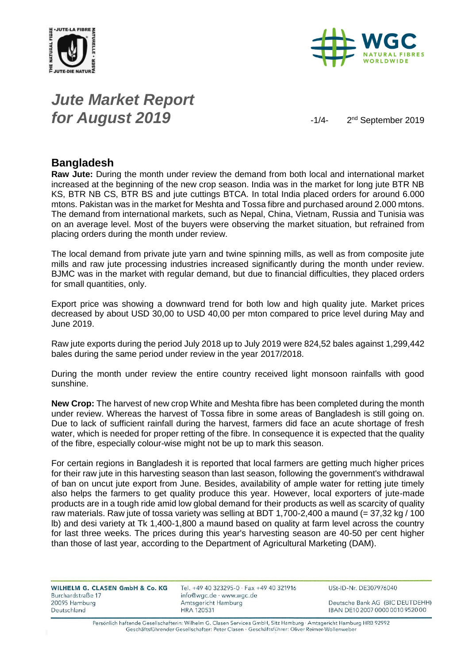



## *Jute Market Report for August* 2019  $-1/4$

2<sup>nd</sup> September 2019

#### **Bangladesh**

**Raw Jute:** During the month under review the demand from both local and international market increased at the beginning of the new crop season. India was in the market for long jute BTR NB KS, BTR NB CS, BTR BS and jute cuttings BTCA. In total India placed orders for around 6.000 mtons. Pakistan was in the market for Meshta and Tossa fibre and purchased around 2.000 mtons. The demand from international markets, such as Nepal, China, Vietnam, Russia and Tunisia was on an average level. Most of the buyers were observing the market situation, but refrained from placing orders during the month under review.

The local demand from private jute yarn and twine spinning mills, as well as from composite jute mills and raw jute processing industries increased significantly during the month under review. BJMC was in the market with regular demand, but due to financial difficulties, they placed orders for small quantities, only.

Export price was showing a downward trend for both low and high quality jute. Market prices decreased by about USD 30,00 to USD 40,00 per mton compared to price level during May and June 2019.

Raw jute exports during the period July 2018 up to July 2019 were 824,52 bales against 1,299,442 bales during the same period under review in the year 2017/2018.

During the month under review the entire country received light monsoon rainfalls with good sunshine.

**New Crop:** The harvest of new crop White and Meshta fibre has been completed during the month under review. Whereas the harvest of Tossa fibre in some areas of Bangladesh is still going on. Due to lack of sufficient rainfall during the harvest, farmers did face an acute shortage of fresh water, which is needed for proper retting of the fibre. In consequence it is expected that the quality of the fibre, especially colour-wise might not be up to mark this season.

For certain regions in Bangladesh it is reported that local farmers are getting much higher prices for their raw jute in this harvesting season than last season, following the government's withdrawal of ban on uncut jute export from June. Besides, availability of ample water for retting jute timely also helps the farmers to get quality produce this year. However, local exporters of jute-made products are in a tough ride amid low global demand for their products as well as scarcity of quality raw materials. Raw jute of tossa variety was selling at BDT 1,700-2,400 a maund (= 37,32 kg / 100 lb) and desi variety at Tk 1,400-1,800 a maund based on quality at farm level across the country for last three weeks. The prices during this year's harvesting season are 40-50 per cent higher than those of last year, according to the Department of Agricultural Marketing (DAM).

| WILHELM G. CLASEN GmbH & Co. KG | Tel. +49 40 323295-0 · Fax +49 40 321916 | USt-ID-Nr. DE307976040           |
|---------------------------------|------------------------------------------|----------------------------------|
| Burchardstraße 17               | info@wgc.de · www.wgc.de                 |                                  |
| 20095 Hamburg                   | Amtsgericht Hamburg                      | Deutsche Bank AG (BIC DEUTDEHH)  |
| Deutschland                     | HRA 120531                               | IBAN DE10 2007 0000 0010 9520 00 |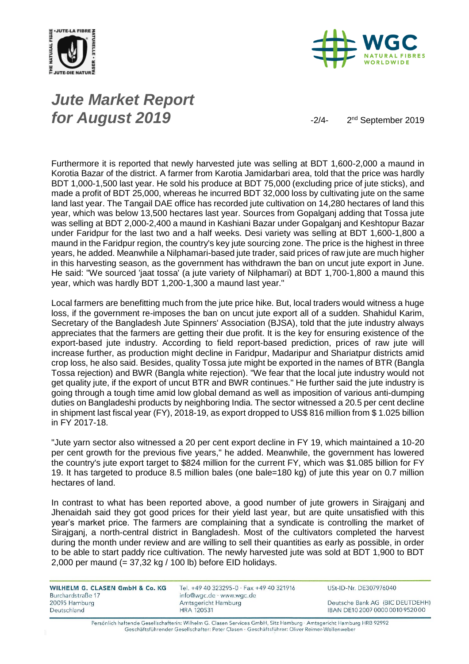



# *Jute Market Report for August* **2019**  $\frac{2}{4}$

2<sup>nd</sup> September 2019

Furthermore it is reported that newly harvested jute was selling at BDT 1,600-2,000 a maund in Korotia Bazar of the district. A farmer from Karotia Jamidarbari area, told that the price was hardly BDT 1,000-1,500 last year. He sold his produce at BDT 75,000 (excluding price of jute sticks), and made a profit of BDT 25,000, whereas he incurred BDT 32,000 loss by cultivating jute on the same land last year. The Tangail DAE office has recorded jute cultivation on 14,280 hectares of land this year, which was below 13,500 hectares last year. Sources from Gopalganj adding that Tossa jute was selling at BDT 2,000-2,400 a maund in Kashiani Bazar under Gopalganj and Keshtopur Bazar under Faridpur for the last two and a half weeks. Desi variety was selling at BDT 1,600-1,800 a maund in the Faridpur region, the country's key jute sourcing zone. The price is the highest in three years, he added. Meanwhile a Nilphamari-based jute trader, said prices of raw jute are much higher in this harvesting season, as the government has withdrawn the ban on uncut jute export in June. He said: "We sourced 'jaat tossa' (a jute variety of Nilphamari) at BDT 1,700-1,800 a maund this year, which was hardly BDT 1,200-1,300 a maund last year."

Local farmers are benefitting much from the jute price hike. But, local traders would witness a huge loss, if the government re-imposes the ban on uncut jute export all of a sudden. Shahidul Karim, Secretary of the Bangladesh Jute Spinners' Association (BJSA), told that the jute industry always appreciates that the farmers are getting their due profit. It is the key for ensuring existence of the export-based jute industry. According to field report-based prediction, prices of raw jute will increase further, as production might decline in Faridpur, Madaripur and Shariatpur districts amid crop loss, he also said. Besides, quality Tossa jute might be exported in the names of BTR (Bangla Tossa rejection) and BWR (Bangla white rejection). "We fear that the local jute industry would not get quality jute, if the export of uncut BTR and BWR continues." He further said the jute industry is going through a tough time amid low global demand as well as imposition of various anti-dumping duties on Bangladeshi products by neighboring India. The sector witnessed a 20.5 per cent decline in shipment last fiscal year (FY), 2018-19, as export dropped to US\$ 816 million from \$ 1.025 billion in FY 2017-18.

"Jute yarn sector also witnessed a 20 per cent export decline in FY 19, which maintained a 10-20 per cent growth for the previous five years," he added. Meanwhile, the government has lowered the country's jute export target to \$824 million for the current FY, which was \$1.085 billion for FY 19. It has targeted to produce 8.5 million bales (one bale=180 kg) of jute this year on 0.7 million hectares of land.

In contrast to what has been reported above, a good number of jute growers in Sirajganj and Jhenaidah said they got good prices for their yield last year, but are quite unsatisfied with this year's market price. The farmers are complaining that a syndicate is controlling the market of Sirajganj, a north-central district in Bangladesh. Most of the cultivators completed the harvest during the month under review and are willing to sell their quantities as early as possible, in order to be able to start paddy rice cultivation. The newly harvested jute was sold at BDT 1,900 to BDT 2,000 per maund (= 37,32 kg / 100 lb) before EID holidays.

WILHELM G. CLASEN GmbH & Co. KG Burchardstraße 17 20095 Hamburg Deutschland

Tel. +49 40 323295-0 · Fax +49 40 321916 info@wgc.de · www.wgc.de Amtsgericht Hamburg **HRA 120531** 

USt-ID-Nr. DE307976040

Deutsche Bank AG (BIC DEUTDEHH) IBAN DE10 2007 0000 0010 9520 00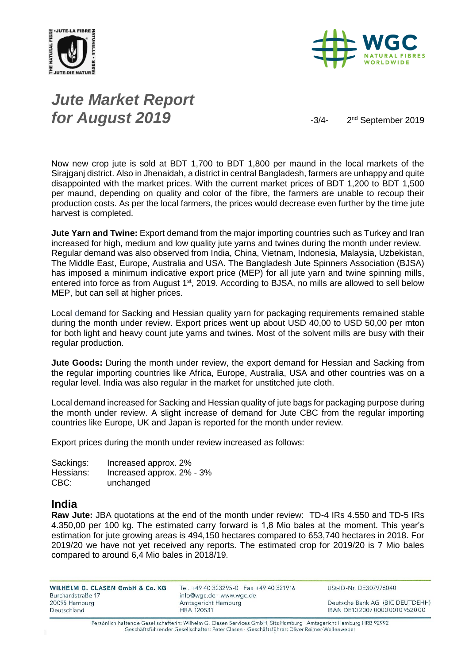



# *Jute Market Report for August* 2019  $-3/4$

2<sup>nd</sup> September 2019

Now new crop jute is sold at BDT 1,700 to BDT 1,800 per maund in the local markets of the Sirajganj district. Also in Jhenaidah, a district in central Bangladesh, farmers are unhappy and quite disappointed with the market prices. With the current market prices of BDT 1,200 to BDT 1,500 per maund, depending on quality and color of the fibre, the farmers are unable to recoup their production costs. As per the local farmers, the prices would decrease even further by the time jute harvest is completed.

**Jute Yarn and Twine:** Export demand from the major importing countries such as Turkey and Iran increased for high, medium and low quality jute yarns and twines during the month under review. Regular demand was also observed from India, China, Vietnam, Indonesia, Malaysia, Uzbekistan, The Middle East, Europe, Australia and USA. The Bangladesh Jute Spinners Association (BJSA) has imposed a minimum indicative export price (MEP) for all jute yarn and twine spinning mills, entered into force as from August 1<sup>st</sup>, 2019. According to BJSA, no mills are allowed to sell below MEP, but can sell at higher prices.

Local demand for Sacking and Hessian quality yarn for packaging requirements remained stable during the month under review. Export prices went up about USD 40,00 to USD 50,00 per mton for both light and heavy count jute yarns and twines. Most of the solvent mills are busy with their regular production.

**Jute Goods:** During the month under review, the export demand for Hessian and Sacking from the regular importing countries like Africa, Europe, Australia, USA and other countries was on a regular level. India was also regular in the market for unstitched jute cloth.

Local demand increased for Sacking and Hessian quality of jute bags for packaging purpose during the month under review. A slight increase of demand for Jute CBC from the regular importing countries like Europe, UK and Japan is reported for the month under review.

Export prices during the month under review increased as follows:

| Sackings: | Increased approx. 2%      |
|-----------|---------------------------|
| Hessians: | Increased approx. 2% - 3% |
| CBC:      | unchanged                 |

#### **India**

**Raw Jute:** JBA quotations at the end of the month under review: TD-4 IRs 4.550 and TD-5 IRs 4.350,00 per 100 kg. The estimated carry forward is 1,8 Mio bales at the moment. This year's estimation for jute growing areas is 494,150 hectares compared to 653,740 hectares in 2018. For 2019/20 we have not yet received any reports. The estimated crop for 2019/20 is 7 Mio bales compared to around 6,4 Mio bales in 2018/19.

WILHELM G. CLASEN GmbH & Co. KG Burchardstraße 17 20095 Hamburg Deutschland

Tel. +49 40 323295-0 · Fax +49 40 321916 info@wgc.de · www.wgc.de Amtsgericht Hamburg **HRA 120531** 

USt-ID-Nr. DE307976040

Deutsche Bank AG (BIC DEUTDEHH) IBAN DE10 2007 0000 0010 9520 00